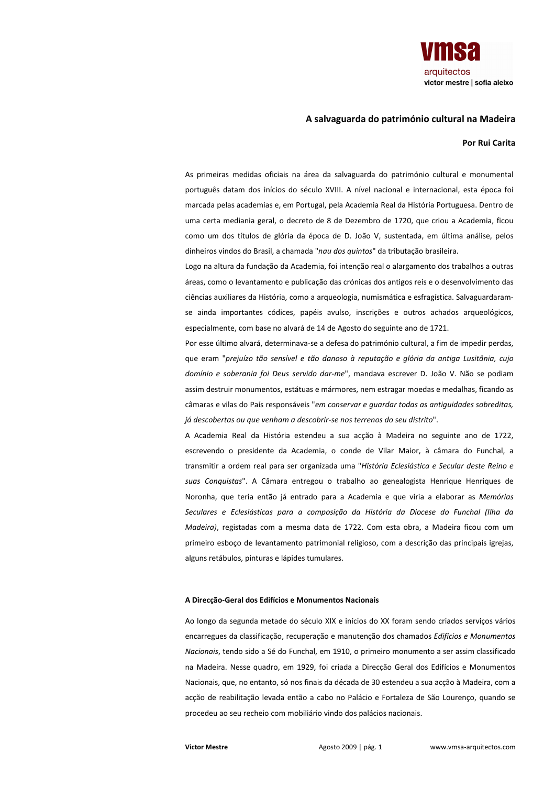

## A salvaguarda do património cultural na Madeira

## Por Rui Carita

As primeiras medidas oficiais na área da salvaguarda do património cultural e monumental português datam dos inícios do século XVIII. A nível nacional e internacional, esta época foi marcada pelas academias e, em Portugal, pela Academia Real da História Portuguesa. Dentro de uma certa mediania geral, o decreto de 8 de Dezembro de 1720, que criou a Academia, ficou como um dos títulos de glória da época de D. João V, sustentada, em última análise, pelos dinheiros vindos do Brasil, a chamada "nau dos quintos" da tributação brasileira.

Logo na altura da fundação da Academia, foi intenção real o alargamento dos trabalhos a outras áreas, como o levantamento e publicação das crónicas dos antigos reis e o desenvolvimento das ciências auxiliares da História, como a arqueologia, numismática e esfragística. Salvaguardaramse ainda importantes códices, papéis avulso, inscrições e outros achados arqueológicos, especialmente, com base no alvará de 14 de Agosto do seguinte ano de 1721.

Por esse último alvará, determinava-se a defesa do património cultural, a fim de impedir perdas. que eram "prejuízo tão sensível e tão danoso à reputação e glória da antiga Lusitânia, cujo domínio e soberania foi Deus servido dar-me", mandava escrever D. João V. Não se podiam assim destruir monumentos, estátuas e mármores, nem estragar moedas e medalhas, ficando as câmaras e vilas do País responsáveis "em conservar e guardar todas as antiguidades sobreditas, já descobertas ou que venham a descobrir-se nos terrenos do seu distrito".

A Academia Real da História estendeu a sua accão à Madeira no seguinte ano de 1722, escrevendo o presidente da Academia, o conde de Vilar Maior, à câmara do Funchal, a transmitir a ordem real para ser organizada uma "História Eclesiástica e Secular deste Reino e suas Conquistas". A Câmara entregou o trabalho ao genealogista Henrique Henriques de Noronha, que teria então já entrado para a Academia e que viria a elaborar as Memórias Seculares e Eclesiásticas para a composição da História da Diocese do Funchal (Ilha da Madeira), registadas com a mesma data de 1722. Com esta obra, a Madeira ficou com um primeiro esboço de levantamento patrimonial religioso, com a descrição das principais igrejas, alguns retábulos, pinturas e lápides tumulares.

## A Direcção-Geral dos Edifícios e Monumentos Nacionais

Ao longo da segunda metade do século XIX e inícios do XX foram sendo criados servicos vários encarregues da classificação, recuperação e manutenção dos chamados Edifícios e Monumentos Nacionais, tendo sido a Sé do Funchal, em 1910, o primeiro monumento a ser assim classificado na Madeira. Nesse quadro, em 1929, foi criada a Direcção Geral dos Edifícios e Monumentos Nacionais, que, no entanto, só nos finais da década de 30 estendeu a sua acção à Madeira, com a acção de reabilitação levada então a cabo no Palácio e Fortaleza de São Lourenço, quando se procedeu ao seu recheio com mobiliário vindo dos palácios nacionais.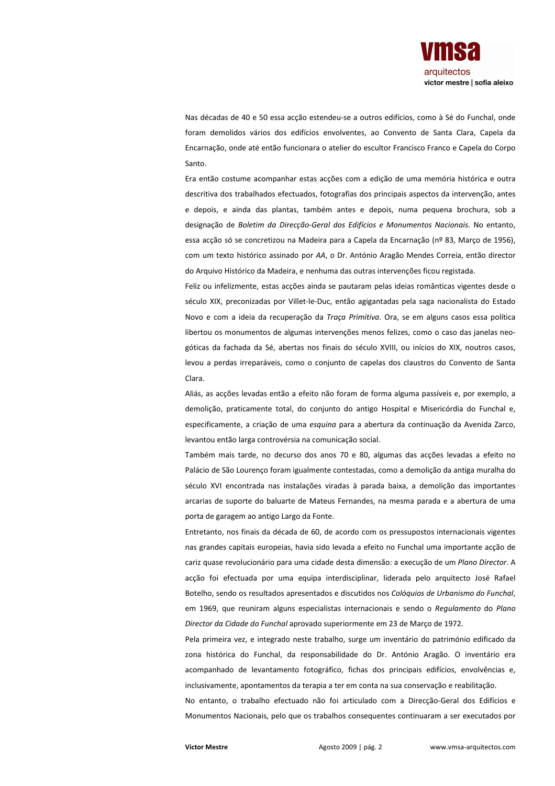

Nas décadas de 40 e 50 essa acção estendeu-se a outros edifícios, como à Sé do Funchal, onde foram demolidos vários dos edifícios envolventes, ao Convento de Santa Clara, Capela da Encarnação, onde até então funcionara o atelier do escultor Francisco Franco e Capela do Corpo Santo.

Era então costume acompanhar estas acções com a edição de uma memória histórica e outra descritiva dos trabalhados efectuados, fotografias dos principais aspectos da intervenção, antes e depois, e ainda das plantas, também antes e depois, numa pequena brochura, sob a designação de Boletim da Direcção-Geral dos Edifícios e Monumentos Nacionais. No entanto, essa acção só se concretizou na Madeira para a Capela da Encarnação (nº 83, Março de 1956), com um texto histórico assinado por AA, o Dr. António Aragão Mendes Correia, então director do Arquivo Histórico da Madeira, e nenhuma das outras intervenções ficou registada.

Feliz ou infelizmente, estas acções ainda se pautaram pelas ideias românticas vigentes desde o século XIX, preconizadas por Villet-le-Duc, então agigantadas pela saga nacionalista do Estado Novo e com a ideia da recuperação da Traca Primitiva. Ora, se em alguns casos essa política libertou os monumentos de algumas intervenções menos felizes, como o caso das janelas neogóticas da fachada da Sé, abertas nos finais do século XVIII, ou inícios do XIX, noutros casos, levou a perdas irreparáveis, como o conjunto de capelas dos claustros do Convento de Santa Clara

Aliás, as acções levadas então a efeito não foram de forma alguma passíveis e, por exemplo, a demolição, praticamente total, do conjunto do antigo Hospital e Misericórdia do Funchal e. especificamente, a criação de uma esquina para a abertura da continuação da Avenida Zarco, levantou então larga controvérsia na comunicação social.

Também mais tarde, no decurso dos anos 70 e 80, algumas das acções levadas a efeito no Palácio de São Lourenço foram igualmente contestadas, como a demolição da antiga muralha do século XVI encontrada nas instalações viradas à parada baixa, a demolição das importantes arcarias de suporte do baluarte de Mateus Fernandes, na mesma parada e a abertura de uma porta de garagem ao antigo Largo da Fonte.

Entretanto, nos finais da década de 60, de acordo com os pressupostos internacionais vigentes nas grandes capitais europeias, havia sido levada a efeito no Funchal uma importante acção de cariz quase revolucionário para uma cidade desta dimensão: a execução de um Plano Director. A acção foi efectuada por uma equipa interdisciplinar, liderada pelo arquitecto José Rafael Botelho, sendo os resultados apresentados e discutidos nos Colóquios de Urbanismo do Funchal, em 1969, que reuniram alguns especialistas internacionais e sendo o Regulamento do Plano Director da Cidade do Funchal aprovado superiormente em 23 de Marco de 1972.

Pela primeira vez, e integrado neste trabalho, surge um inventário do património edificado da zona histórica do Funchal, da responsabilidade do Dr. António Aragão. O inventário era acompanhado de levantamento fotográfico, fichas dos principais edifícios, envolvências e, inclusivamente, apontamentos da terapia a ter em conta na sua conservação e reabilitação.

No entanto, o trabalho efectuado não foi articulado com a Direcção-Geral dos Edifícios e Monumentos Nacionais, pelo que os trabalhos consequentes continuaram a ser executados por